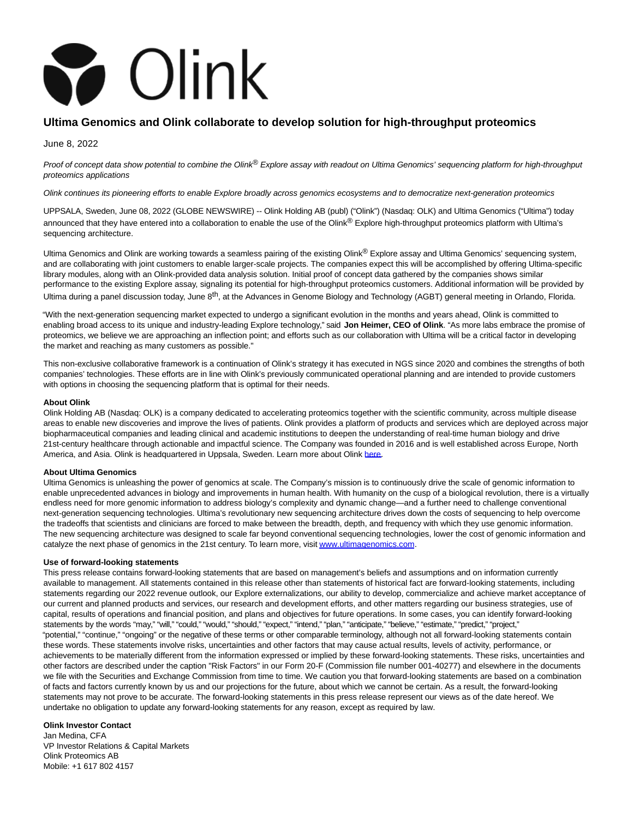

# **Ultima Genomics and Olink collaborate to develop solution for high-throughput proteomics**

June 8, 2022

Proof of concept data show potential to combine the Olink® Explore assay with readout on Ultima Genomics' sequencing platform for high-throughput proteomics applications

Olink continues its pioneering efforts to enable Explore broadly across genomics ecosystems and to democratize next-generation proteomics

UPPSALA, Sweden, June 08, 2022 (GLOBE NEWSWIRE) -- Olink Holding AB (publ) ("Olink") (Nasdaq: OLK) and Ultima Genomics ("Ultima") today announced that they have entered into a collaboration to enable the use of the Olink® Explore high-throughput proteomics platform with Ultima's sequencing architecture.

Ultima Genomics and Olink are working towards a seamless pairing of the existing Olink<sup>®</sup> Explore assay and Ultima Genomics' sequencing system, and are collaborating with joint customers to enable larger-scale projects. The companies expect this will be accomplished by offering Ultima-specific library modules, along with an Olink-provided data analysis solution. Initial proof of concept data gathered by the companies shows similar performance to the existing Explore assay, signaling its potential for high-throughput proteomics customers. Additional information will be provided by Ultima during a panel discussion today, June 8<sup>th</sup>, at the Advances in Genome Biology and Technology (AGBT) general meeting in Orlando, Florida.

"With the next-generation sequencing market expected to undergo a significant evolution in the months and years ahead, Olink is committed to enabling broad access to its unique and industry-leading Explore technology," said **Jon Heimer, CEO of Olink**. "As more labs embrace the promise of proteomics, we believe we are approaching an inflection point; and efforts such as our collaboration with Ultima will be a critical factor in developing the market and reaching as many customers as possible."

This non-exclusive collaborative framework is a continuation of Olink's strategy it has executed in NGS since 2020 and combines the strengths of both companies' technologies. These efforts are in line with Olink's previously communicated operational planning and are intended to provide customers with options in choosing the sequencing platform that is optimal for their needs.

### **About Olink**

Olink Holding AB (Nasdaq: OLK) is a company dedicated to accelerating proteomics together with the scientific community, across multiple disease areas to enable new discoveries and improve the lives of patients. Olink provides a platform of products and services which are deployed across major biopharmaceutical companies and leading clinical and academic institutions to deepen the understanding of real-time human biology and drive 21st-century healthcare through actionable and impactful science. The Company was founded in 2016 and is well established across Europe, North America, and Asia. Olink is headquartered in Uppsala, Sweden. Learn more about Olink [here.](https://www.globenewswire.com/Tracker?data=UGwLf-8vwR5BJFpf-CelRtS7oaHDphlPoqnFRpbh0ixPKwqwFytVJOD_FuN9s98s)

#### **About Ultima Genomics**

Ultima Genomics is unleashing the power of genomics at scale. The Company's mission is to continuously drive the scale of genomic information to enable unprecedented advances in biology and improvements in human health. With humanity on the cusp of a biological revolution, there is a virtually endless need for more genomic information to address biology's complexity and dynamic change—and a further need to challenge conventional next-generation sequencing technologies. Ultima's revolutionary new sequencing architecture drives down the costs of sequencing to help overcome the tradeoffs that scientists and clinicians are forced to make between the breadth, depth, and frequency with which they use genomic information. The new sequencing architecture was designed to scale far beyond conventional sequencing technologies, lower the cost of genomic information and catalyze the next phase of genomics in the 21st century. To learn more, visi[t www.ultimagenomics.com.](https://www.globenewswire.com/Tracker?data=rAVvHIlOR9aLe9BvA5cpKDB1IXCB5rtzPZVCz7f6PninZtzk34K92ne0_jbGK7CE98GB8Uppqe_0d98NmLUWCZ7evnOASWQu52BHs9HBmAk=)

#### **Use of forward-looking statements**

This press release contains forward-looking statements that are based on management's beliefs and assumptions and on information currently available to management. All statements contained in this release other than statements of historical fact are forward-looking statements, including statements regarding our 2022 revenue outlook, our Explore externalizations, our ability to develop, commercialize and achieve market acceptance of our current and planned products and services, our research and development efforts, and other matters regarding our business strategies, use of capital, results of operations and financial position, and plans and objectives for future operations. In some cases, you can identify forward-looking statements by the words "may," "will," "could," "would," "should," "expect," "intend," "plan," "anticipate," "believe," "estimate," "predict," "project," "potential," "continue," "ongoing" or the negative of these terms or other comparable terminology, although not all forward-looking statements contain these words. These statements involve risks, uncertainties and other factors that may cause actual results, levels of activity, performance, or achievements to be materially different from the information expressed or implied by these forward-looking statements. These risks, uncertainties and other factors are described under the caption "Risk Factors" in our Form 20-F (Commission file number 001-40277) and elsewhere in the documents we file with the Securities and Exchange Commission from time to time. We caution you that forward-looking statements are based on a combination of facts and factors currently known by us and our projections for the future, about which we cannot be certain. As a result, the forward-looking statements may not prove to be accurate. The forward-looking statements in this press release represent our views as of the date hereof. We undertake no obligation to update any forward-looking statements for any reason, except as required by law.

#### **Olink Investor Contact**

Jan Medina, CFA VP Investor Relations & Capital Markets Olink Proteomics AB Mobile: +1 617 802 4157